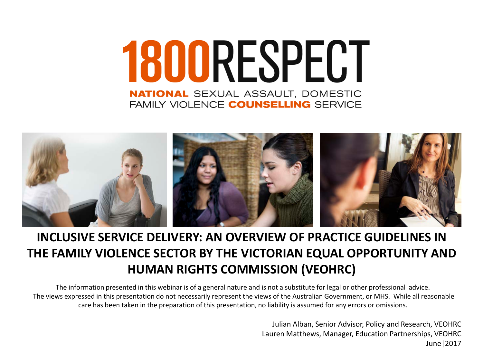# 1800RESPECT **NATIONAL SEXUAL ASSAULT, DOMESTIC** FAMILY VIOLENCE **COUNSELLING** SERVICE



#### **INCLUSIVE SERVICE DELIVERY: AN OVERVIEW OF PRACTICE GUIDELINES IN THE FAMILY VIOLENCE SECTOR BY THE VICTORIAN EQUAL OPPORTUNITY AND HUMAN RIGHTS COMMISSION (VEOHRC)**

The information presented in this webinar is of a general nature and is not a substitute for legal or other professional advice. The views expressed in this presentation do not necessarily represent the views of the Australian Government, or MHS. While all reasonable care has been taken in the preparation of this presentation, no liability is assumed for any errors or omissions.

> Julian Alban, Senior Advisor, Policy and Research, VEOHRC Lauren Matthews, Manager, Education Partnerships, VEOHRC June|2017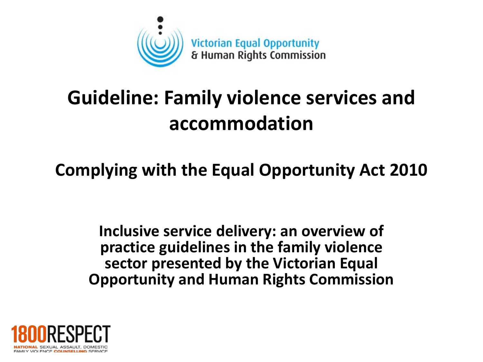

# **Guideline: Family violence services and accommodation**

#### **Complying with the Equal Opportunity Act 2010**

**Inclusive service delivery: an overview of practice guidelines in the family violence sector presented by the Victorian Equal Opportunity and Human Rights Commission**

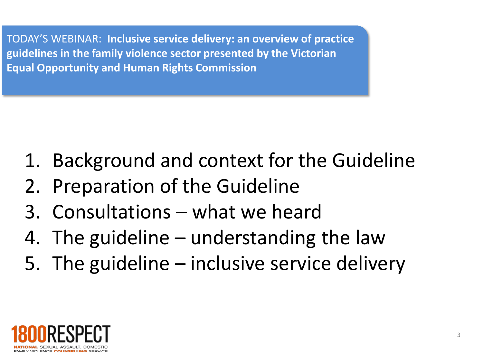TODAY'S WEBINAR: **Inclusive service delivery: an overview of practice guidelines in the family violence sector presented by the Victorian Equal Opportunity and Human Rights Commission**

- 1. Background and context for the Guideline
- 2. Preparation of the Guideline
- 3. Consultations what we heard
- 4. The guideline understanding the law
- 5. The guideline inclusive service delivery

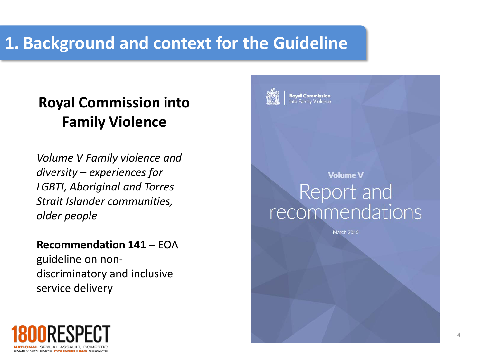### **1. Background and context for the Guideline**

#### **Royal Commission into Family Violence**

*Volume V Family violence and diversity – experiences for LGBTI, Aboriginal and Torres Strait Islander communities, older people*

#### **Recommendation 141** – EOA

guideline on nondiscriminatory and inclusive service delivery





**Roval Commission** to Family Violence

#### **Volume V** Report and recommendations

March 2016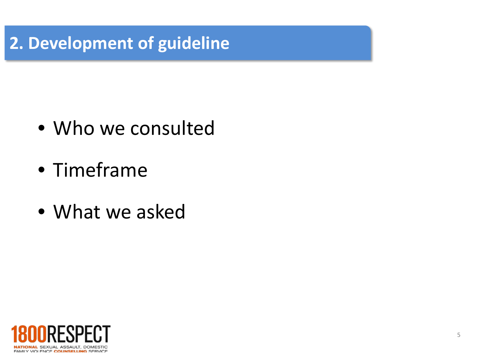#### **2. Development of guideline**

- Who we consulted
- Timeframe
- What we asked

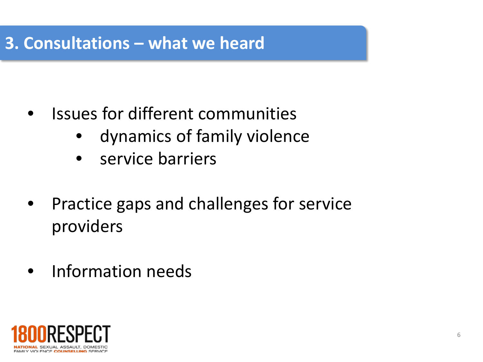#### **3. Consultations – what we heard**

- Issues for different communities
	- dynamics of family violence
	- service barriers
- Practice gaps and challenges for service providers
- Information needs

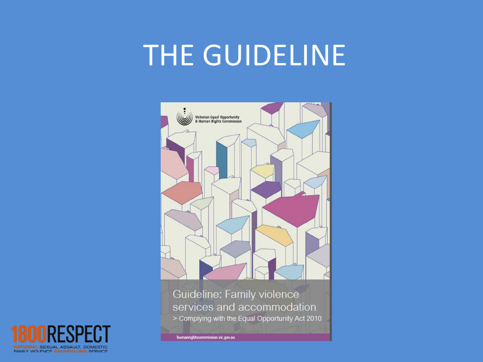# THE GUIDELINE



Guideline: Family violence services and accommodation > Complying with the Equal Opportunity Act 2010

humanrightscommission.vic.gov.au

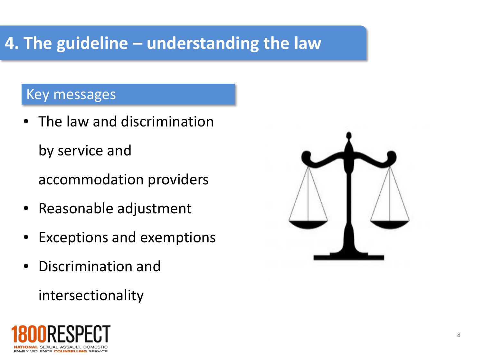## **4. The guideline – understanding the law**

#### Key messages

• The law and discrimination by service and

accommodation providers

- Reasonable adjustment
- Exceptions and exemptions
- Discrimination and

intersectionality



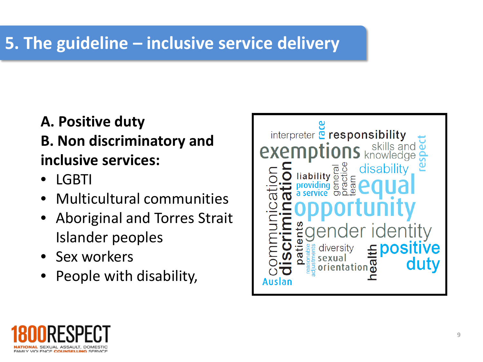## **5. The guideline – inclusive service delivery**

#### **A. Positive duty B. Non discriminatory and inclusive services:**

- LGBTI
- Multicultural communities
- Aboriginal and Torres Strait Islander peoples
- Sex workers
- People with disability,



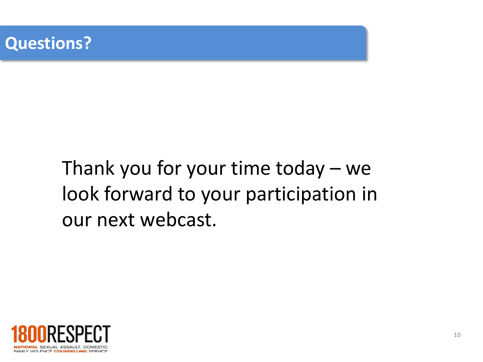

# Thank you for your time today – we look forward to your participation in our next webcast.